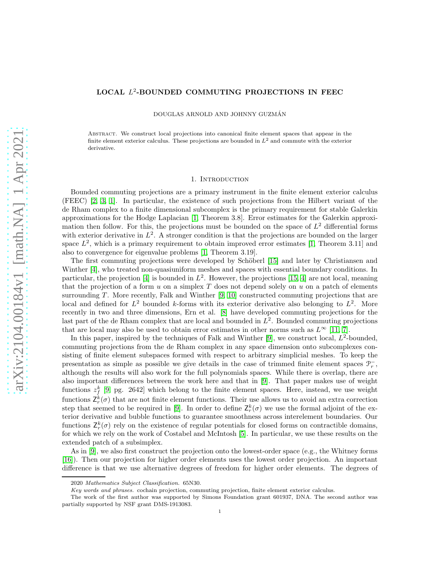# LOCAL L 2 -BOUNDED COMMUTING PROJECTIONS IN FEEC

DOUGLAS ARNOLD AND JOHNNY GUZMÁN

Abstract. We construct local projections into canonical finite element spaces that appear in the finite element exterior calculus. These projections are bounded in  $L<sup>2</sup>$  and commute with the exterior derivative.

### 1. INTRODUCTION

Bounded commuting projections are a primary instrument in the finite element exterior calculus (FEEC) [\[2,](#page-13-0) [3,](#page-13-1) [1\]](#page-13-2). In particular, the existence of such projections from the Hilbert variant of the de Rham complex to a finite dimensional subcomplex is the primary requirement for stable Galerkin approximations for the Hodge Laplacian [\[1,](#page-13-2) Theorem 3.8]. Error estimates for the Galerkin approximation then follow. For this, the projections must be bounded on the space of  $L^2$  differential forms with exterior derivative in  $L^2$ . A stronger condition is that the projections are bounded on the larger space  $L^2$ , which is a primary requirement to obtain improved error estimates [\[1,](#page-13-2) Theorem 3.11] and also to convergence for eigenvalue problems [\[1,](#page-13-2) Theorem 3.19].

The first commuting projections were developed by Schöberl [\[15\]](#page-14-0) and later by Christiansen and Winther [\[4\]](#page-13-3), who treated non-quasiuniform meshes and spaces with essential boundary conditions. In particular, the projection [\[4\]](#page-13-3) is bounded in  $L^2$ . However, the projections [\[15,](#page-14-0) [4\]](#page-13-3) are not local, meaning that the projection of a form  $u$  on a simplex  $T$  does not depend solely on  $u$  on a patch of elements surrounding  $T$ . More recently, Falk and Winther [\[9,](#page-13-4) [10\]](#page-13-5) constructed commuting projections that are local and defined for  $L^2$  bounded k-forms with its exterior derivative also belonging to  $L^2$ . More recently in two and three dimensions, Ern et al. [\[8\]](#page-13-6) have developed commuting projections for the last part of the de Rham complex that are local and bounded in  $L^2$ . Bounded commuting projections that are local may also be used to obtain error estimates in other norms such as  $L^{\infty}$  [\[11,](#page-14-1) [7\]](#page-13-7).

In this paper, inspired by the techniques of Falk and Winther [\[9\]](#page-13-4), we construct local,  $L^2$ -bounded, commuting projections from the de Rham complex in any space dimension onto subcomplexes consisting of finite element subspaces formed with respect to arbitrary simplicial meshes. To keep the presentation as simple as possible we give details in the case of trimmed finite element spaces  $\mathcal{P}_r^-$ , although the results will also work for the full polynomials spaces. While there is overlap, there are also important differences between the work here and that in [\[9\]](#page-13-4). That paper makes use of weight functions  $z_f^k$  [\[9,](#page-13-4) pg. 2642] which belong to the finite element spaces. Here, instead, we use weight functions  $\mathsf{Z}_{r}^{k}(\sigma)$  that are not finite element functions. Their use allows us to avoid an extra correction step that seemed to be required in [\[9\]](#page-13-4). In order to define  $\mathsf{Z}_{r}^{k}(\sigma)$  we use the formal adjoint of the exterior derivative and bubble functions to guarantee smoothness across interelement boundaries. Our functions  $\mathsf{Z}_{r}^{k}(\sigma)$  rely on the existence of regular potentials for closed forms on contractible domains, for which we rely on the work of Costabel and McIntosh [\[5\]](#page-13-8). In particular, we use these results on the extended patch of a subsimplex.

As in [\[9\]](#page-13-4), we also first construct the projection onto the lowest-order space (e.g., the Whitney forms [\[16\]](#page-14-2)). Then our projection for higher order elements uses the lowest order projection. An important difference is that we use alternative degrees of freedom for higher order elements. The degrees of

<sup>2020</sup> Mathematics Subject Classification. 65N30.

Key words and phrases. cochain projection, commuting projection, finite element exterior calculus.

The work of the first author was supported by Simons Foundation grant 601937, DNA. The second author was partially supported by NSF grant DMS-1913083.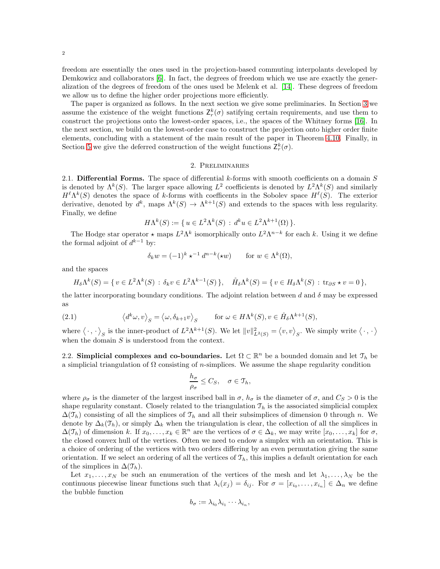2

freedom are essentially the ones used in the projection-based commuting interpolants developed by Demkowicz and collaborators [\[6\]](#page-13-9). In fact, the degrees of freedom which we use are exactly the generalization of the degrees of freedom of the ones used be Melenk et al. [\[14\]](#page-14-3). These degrees of freedom we allow us to define the higher order projections more efficiently.

The paper is organized as follows. In the next section we give some preliminaries. In Section [3](#page-4-0) we assume the existence of the weight functions  $Z_r^k(\sigma)$  satifying certain requirements, and use them to construct the projections onto the lowest-order spaces, i.e., the spaces of the Whitney forms [\[16\]](#page-14-2). In the next section, we build on the lowest-order case to construct the projection onto higher order finite elements, concluding with a statement of the main result of the paper in Theorem [4.10.](#page-10-0) Finally, in Section [5](#page-11-0) we give the deferred construction of the weight functions  $\mathsf{Z}_{r}^{k}(\sigma)$ .

## 2. Preliminaries

2.1. **Differential Forms.** The space of differential  $k$ -forms with smooth coefficients on a domain  $S$ is denoted by  $\Lambda^k(S)$ . The larger space allowing  $L^2$  coefficients is denoted by  $L^2\Lambda^k(S)$  and similarly  $H^{\ell}\Lambda^{k}(S)$  denotes the space of k-forms with coefficents in the Sobolev space  $H^{\ell}(S)$ . The exterior derivative, denoted by  $d^k$ , maps  $\Lambda^k(S) \to \Lambda^{k+1}(S)$  and extends to the spaces with less regularity. Finally, we define

$$
H\Lambda^{k}(S) := \{ u \in L^{2}\Lambda^{k}(S) : d^{k}u \in L^{2}\Lambda^{k+1}(\Omega) \}.
$$

The Hodge star operator  $\star$  maps  $L^2 \Lambda^k$  isomorphically onto  $L^2 \Lambda^{n-k}$  for each k. Using it we define the formal adjoint of  $d^{k-1}$  by:

$$
\delta_k w = (-1)^k \star^{-1} d^{n-k}(\star w) \quad \text{for } w \in \Lambda^k(\Omega),
$$

and the spaces

<span id="page-1-0"></span>
$$
H_{\delta}\Lambda^{k}(S) = \{ v \in L^{2}\Lambda^{k}(S) : \delta_{k}v \in L^{2}\Lambda^{k-1}(S) \}, \quad \mathring{H}_{\delta}\Lambda^{k}(S) = \{ v \in H_{\delta}\Lambda^{k}(S) : \text{tr}_{\partial S} \star v = 0 \},
$$

the latter incorporating boundary conditions. The adjoint relation between d and  $\delta$  may be expressed as

(2.1) 
$$
\langle d^k \omega, v \rangle_S = \langle \omega, \delta_{k+1} v \rangle_S \quad \text{for } \omega \in H\Lambda^k(S), v \in \mathring{H}_\delta \Lambda^{k+1}(S),
$$

where  $\langle \cdot, \cdot \rangle_S$  is the inner-product of  $L^2 \Lambda^{k+1}(S)$ . We let  $||v||^2_{L^2(S)} = \langle v, v \rangle_S$ . We simply write  $\langle \cdot, \cdot \rangle$ when the domain  $S$  is understood from the context.

2.2. Simplicial complexes and co-boundaries. Let  $\Omega \subset \mathbb{R}^n$  be a bounded domain and let  $\mathcal{T}_h$  be a simplicial triangulation of  $\Omega$  consisting of *n*-simplices. We assume the shape regularity condition

$$
\frac{h_{\sigma}}{\rho_{\sigma}} \leq C_S, \quad \sigma \in \mathfrak{T}_h,
$$

where  $\rho_{\sigma}$  is the diameter of the largest inscribed ball in  $\sigma$ ,  $h_{\sigma}$  is the diameter of  $\sigma$ , and  $C_S > 0$  is the shape regularity constant. Closely related to the triangulation  $\mathcal{T}_h$  is the associated simplicial complex  $\Delta(\mathcal{T}_h)$  consisting of all the simplices of  $\mathcal{T}_h$  and all their subsimplices of dimension 0 through n. We denote by  $\Delta_k(\mathcal{T}_h)$ , or simply  $\Delta_k$  when the triangulation is clear, the collection of all the simplices in  $\Delta(\mathcal{T}_h)$  of dimension k. If  $x_0, \ldots, x_k \in \mathbb{R}^n$  are the vertices of  $\sigma \in \Delta_k$ , we may write  $[x_0, \ldots, x_k]$  for  $\sigma$ , the closed convex hull of the vertices. Often we need to endow a simplex with an orientation. This is a choice of ordering of the vertices with two orders differing by an even permutation giving the same orientation. If we select an ordering of all the vertices of  $\mathcal{T}_h$ , this implies a default orientation for each of the simplices in  $\Delta(\mathcal{T}_h)$ .

Let  $x_1, \ldots, x_N$  be such an enumeration of the vertices of the mesh and let  $\lambda_1, \ldots, \lambda_N$  be the continuous piecewise linear functions such that  $\lambda_i(x_j) = \delta_{ij}$ . For  $\sigma = [x_{i_0}, \dots, x_{i_n}] \in \Delta_n$  we define the bubble function

$$
b_{\sigma} := \lambda_{i_0} \lambda_{i_1} \cdots \lambda_{i_n},
$$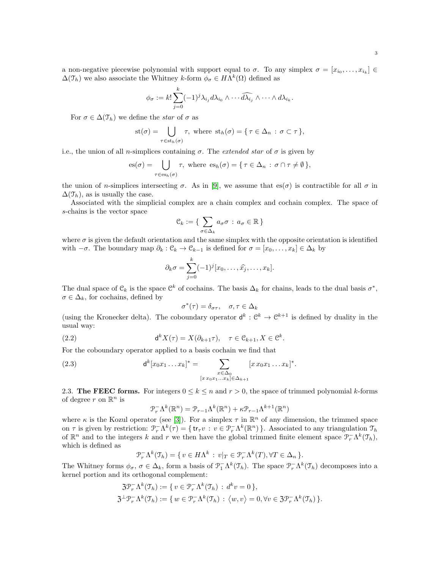a non-negative piecewise polynomial with support equal to  $\sigma$ . To any simplex  $\sigma = [x_{i_0}, \ldots, x_{i_k}] \in$  $\Delta(\mathfrak{T}_h)$  we also associate the Whitney k-form  $\phi_{\sigma} \in H\Lambda^k(\Omega)$  defined as

$$
\phi_{\sigma} := k! \sum_{j=0}^{k} (-1)^j \lambda_{i_j} d\lambda_{i_0} \wedge \cdots \widehat{d\lambda_{i_j}} \wedge \cdots \wedge d\lambda_{i_k}.
$$

For  $\sigma \in \Delta(\mathcal{T}_h)$  we define the star of  $\sigma$  as

$$
st(\sigma) = \bigcup_{\tau \in st_h(\sigma)} \tau, \text{ where } st_h(\sigma) = \{ \tau \in \Delta_n : \sigma \subset \tau \},
$$

i.e., the union of all n-simplices containing  $\sigma$ . The *extended star* of  $\sigma$  is given by

$$
\mathrm{es}(\sigma) = \bigcup_{\tau \in \mathrm{es}_h(\sigma)} \tau, \text{ where } \mathrm{es}_h(\sigma) = \{ \tau \in \Delta_n : \sigma \cap \tau \neq \emptyset \},
$$

the union of n-simplices intersecting  $\sigma$ . As in [\[9\]](#page-13-4), we assume that es( $\sigma$ ) is contractible for all  $\sigma$  in  $\Delta(\mathcal{T}_h)$ , as is usually the case.

Associated with the simplicial complex are a chain complex and cochain complex. The space of s-chains is the vector space

$$
\mathcal{C}_k := \{ \sum_{\sigma \in \Delta_k} a_{\sigma} \sigma : a_{\sigma} \in \mathbb{R} \}
$$

where  $\sigma$  is given the default orientation and the same simplex with the opposite orientation is identified with  $-\sigma$ . The boundary map  $\partial_k : \mathcal{C}_k \to \mathcal{C}_{k-1}$  is defined for  $\sigma = [x_0, \ldots, x_k] \in \Delta_k$  by

$$
\partial_k \sigma = \sum_{j=0}^k (-1)^j [x_0, \dots, \widehat{x_j}, \dots, x_k].
$$

The dual space of  $\mathfrak{C}_k$  is the space  $\mathfrak{C}^k$  of cochains. The basis  $\Delta_k$  for chains, leads to the dual basis  $\sigma^*$ ,  $\sigma \in \Delta_k$ , for cochains, defined by

$$
\sigma^*(\tau)=\delta_{\sigma\tau},\quad \sigma,\tau\in\Delta_k
$$

(using the Kronecker delta). The coboundary operator  $d^k: \mathbb{C}^k \to \mathbb{C}^{k+1}$  is defined by duality in the usual way:

(2.2) 
$$
\mathsf{d}^k X(\tau) = X(\partial_{k+1}\tau), \quad \tau \in \mathfrak{C}_{k+1}, X \in \mathfrak{C}^k.
$$

For the coboundary operator applied to a basis cochain we find that

(2.3) 
$$
\mathsf{d}^k[x_0x_1 \dots x_k]^* = \sum_{\substack{x \in \Delta_0 \\ [x \, x_0x_1 \dots x_k] \in \Delta_{k+1}}} [x \, x_0x_1 \dots x_k]^*.
$$

2.3. The FEEC forms. For integers  $0 \le k \le n$  and  $r > 0$ , the space of trimmed polynomial k-forms of degree r on  $\mathbb{R}^n$  is

<span id="page-2-0"></span>
$$
\mathcal{P}_r^{-} \Lambda^{k}(\mathbb{R}^n) = \mathcal{P}_{r-1} \Lambda^{k}(\mathbb{R}^n) + \kappa \mathcal{P}_{r-1} \Lambda^{k+1}(\mathbb{R}^n)
$$

where  $\kappa$  is the Kozul operator (see [\[3\]](#page-13-1)). For a simplex  $\tau$  in  $\mathbb{R}^n$  of any dimension, the trimmed space on  $\tau$  is given by restriction:  $\mathcal{P}_r^-\Lambda^k(\tau) = \{ \text{tr}_{\tau} v : v \in \mathcal{P}_r^-\Lambda^k(\mathbb{R}^n) \}$ . Associated to any triangulation  $\mathcal{T}_h$ of  $\mathbb{R}^n$  and to the integers k and r we then have the global trimmed finite element space  $\mathcal{P}_r^{-}\Lambda^k(\mathcal{T}_h)$ , which is defined as

$$
\mathcal{P}_r^{-} \Lambda^k(\mathcal{T}_h) = \{ v \in H\Lambda^k : v|_T \in \mathcal{P}_r^{-} \Lambda^k(T), \forall T \in \Delta_n \}.
$$

The Whitney forms  $\phi_{\sigma}$ ,  $\sigma \in \Delta_k$ , form a basis of  $\mathcal{P}^{-}_{1}\Lambda^k(\mathcal{I}_h)$ . The space  $\mathcal{P}^{-}_{r}\Lambda^k(\mathcal{I}_h)$  decomposes into a kernel portion and its orthogonal complement:

$$
\mathfrak{Z} \mathcal{P}_r^{-} \Lambda^k(\mathfrak{T}_h) := \{ v \in \mathcal{P}_r^{-} \Lambda^k(\mathfrak{T}_h) : d^k v = 0 \},
$$
  

$$
\mathfrak{Z}^{\perp} \mathcal{P}_r^{-} \Lambda^k(\mathfrak{T}_h) := \{ w \in \mathcal{P}_r^{-} \Lambda^k(\mathfrak{T}_h) : \langle w, v \rangle = 0, \forall v \in \mathfrak{Z} \mathcal{P}_r^{-} \Lambda^k(\mathfrak{T}_h) \}.
$$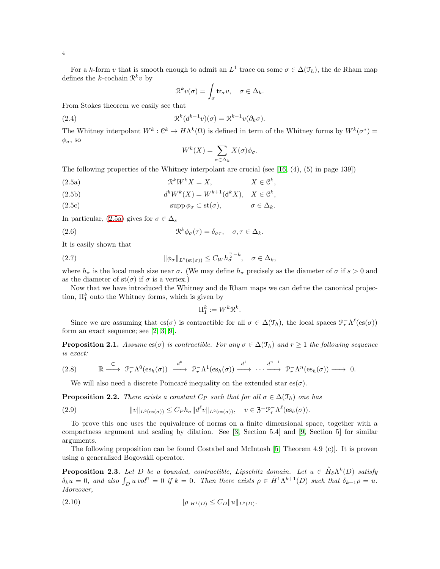For a k-form v that is smooth enough to admit an  $L^1$  trace on some  $\sigma \in \Delta(\mathcal{T}_h)$ , the de Rham map defines the k-cochain  $\mathcal{R}^k v$  by

<span id="page-3-7"></span>
$$
\mathfrak{R}^kv(\sigma)=\int_{\sigma}{\rm tr}_{\sigma}v,\quad \sigma\in\Delta_k.
$$

From Stokes theorem we easily see that

(2.4) 
$$
\mathfrak{R}^k(d^{k-1}v)(\sigma) = \mathfrak{R}^{k-1}v(\partial_k \sigma).
$$

The Whitney interpolant  $W^k$ :  $\mathcal{C}^k \to H\Lambda^k(\Omega)$  is defined in term of the Whitney forms by  $W^k(\sigma^*) =$  $\phi_{\sigma}$ , so

$$
W^k(X) = \sum_{\sigma \in \Delta_k} X(\sigma) \phi_{\sigma}.
$$

The following properties of the Whitney interpolant are crucial (see [\[16,](#page-14-2) (4), (5) in page 139])

- <span id="page-3-0"></span>(2.5a)  $\mathcal{R}^k W^k X = X$ ,  $X \in \mathcal{C}^k$ ,
- <span id="page-3-4"></span>(2.5b)  $d^k W^k(X) = W^{k+1}(\mathbf{d}^k X), \quad X \in \mathcal{C}^k,$

(2.5c) 
$$
\operatorname{supp} \phi_{\sigma} \subset \operatorname{st}(\sigma), \qquad \sigma \in \Delta_k.
$$

In particular, [\(2.5a\)](#page-3-0) gives for  $\sigma \in \Delta_s$ 

(2.6) 
$$
\mathfrak{R}^k \phi_\sigma(\tau) = \delta_{\sigma \tau}, \quad \sigma, \tau \in \Delta_k.
$$

It is easily shown that

(2.7) 
$$
\|\phi_{\sigma}\|_{L^2(\mathrm{st}(\sigma))} \leq C_W h_{\sigma}^{\frac{n}{2}-k}, \quad \sigma \in \Delta_k,
$$

where  $h_{\sigma}$  is the local mesh size near  $\sigma$ . (We may define  $h_{\sigma}$  precisely as the diameter of  $\sigma$  if  $s > 0$  and as the diameter of  $st(\sigma)$  if  $\sigma$  is a vertex.)

Now that we have introduced the Whitney and de Rham maps we can define the canonical projection,  $\Pi_1^k$  onto the Whitney forms, which is given by

<span id="page-3-3"></span><span id="page-3-2"></span>
$$
\Pi_1^k := W^k \mathcal{R}^k.
$$

Since we are assuming that es $(\sigma)$  is contractible for all  $\sigma \in \Delta(\mathcal{T}_h)$ , the local spaces  $\mathcal{P}_r^-\Lambda^{\ell}(\mathrm{es}(\sigma))$ form an exact sequence; see [\[2,](#page-13-0) [3,](#page-13-1) [9\]](#page-13-4).

**Proposition 2.1.** Assume es( $\sigma$ ) is contractible. For any  $\sigma \in \Delta(\mathcal{T}_h)$  and  $r \geq 1$  the following sequence is exact:

<span id="page-3-6"></span>
$$
(2.8) \qquad \mathbb{R} \stackrel{\subset}{\longrightarrow} \mathcal{P}_r^-\Lambda^0(\mathrm{es}_h(\sigma)) \stackrel{d^0}{\longrightarrow} \mathcal{P}_r^-\Lambda^1(\mathrm{es}_h(\sigma)) \stackrel{d^1}{\longrightarrow} \cdots \stackrel{d^{n-1}}{\longrightarrow} \mathcal{P}_r^-\Lambda^n(\mathrm{es}_h(\sigma)) \longrightarrow 0.
$$

<span id="page-3-5"></span>We will also need a discrete Poincaré inequality on the extended star es( $\sigma$ ).

**Proposition 2.2.** There exists a constant  $C_P$  such that for all  $\sigma \in \Delta(\mathcal{T}_h)$  one has

(2.9) 
$$
||v||_{L^{2}(\text{es}(\sigma))} \leq C_{P} h_{\sigma} ||d^{\ell}v||_{L^{2}(\text{es}(\sigma))}, \quad v \in \mathfrak{Z}^{\perp} \mathfrak{P}_{r}^{-} \Lambda^{\ell}(\text{es}_{h}(\sigma)).
$$

To prove this one uses the equivalence of norms on a finite dimensional space, together with a compactness argument and scaling by dilation. See [\[3,](#page-13-1) Section 5.4] and [\[9,](#page-13-4) Section 5] for similar arguments.

The following proposition can be found Costabel and McIntosh [\[5,](#page-13-8) Theorem 4.9 (c)]. It is proven using a generalized Bogovskii operator.

<span id="page-3-1"></span>**Proposition 2.3.** Let D be a bounded, contractible, Lipschitz domain. Let  $u \in \mathring{H}_{\delta} \Lambda^k(D)$  satisfy  $\delta_k u = 0$ , and also  $\int_D u \, vol^n = 0$  if  $k = 0$ . Then there exists  $\rho \in \mathring{H}^1 \Lambda^{k+1}(D)$  such that  $\delta_{k+1} \rho = u$ . Moreover,

$$
|\rho|_{H^1(D)} \le C_D \|u\|_{L^2(D)}.
$$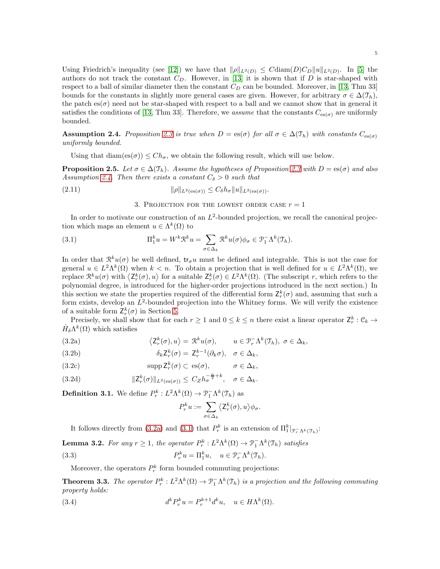Using Friedrich's inequality (see [\[12\]](#page-14-4)) we have that  $\|\rho\|_{L^2(D)} \leq C \text{diam}(D) C_D \|u\|_{L^2(D)}$ . In [\[5\]](#page-13-8) the authors do not track the constant  $C_D$ . However, in [\[13\]](#page-14-5) it is shown that if D is star-shaped with respect to a ball of similar diameter then the constant  $C_D$  can be bounded. Moreover, in [\[13,](#page-14-5) Thm 33] bounds for the constants in slightly more general cases are given. However, for arbitrary  $\sigma \in \Delta(\mathcal{T}_h)$ , the patch  $es(\sigma)$  need not be star-shaped with respect to a ball and we cannot show that in general it satisfies the conditions of [\[13,](#page-14-5) Thm 33]. Therefore, we assume that the constants  $C_{es(\sigma)}$  are uniformly bounded.

<span id="page-4-1"></span>**Assumption 2.4.** Proposition [2.3](#page-3-1) is true when  $D = \text{es}(\sigma)$  for all  $\sigma \in \Delta(\mathfrak{T}_h)$  with constants  $C_{\text{es}(\sigma)}$ uniformly bounded.

Using that  $\text{diam}(es(\sigma)) \leq Ch_{\sigma}$ , we obtain the following result, which will use below.

**Proposition 2.5.** Let  $\sigma \in \Delta(\mathcal{T}_h)$ . Assume the hypotheses of Proposition [2.3](#page-3-1) with  $D = \mathrm{es}(\sigma)$  and also Assumption [2.4.](#page-4-1) Then there exists a constant  $C_{\delta} > 0$  such that

<span id="page-4-0"></span>
$$
||\rho||_{L^2(\text{es}(\sigma))} \leq C_\delta h_\sigma ||u||_{L^2(\text{es}(\sigma))}.
$$

<span id="page-4-9"></span><span id="page-4-3"></span>3. PROJECTION FOR THE LOWEST ORDER CASE  $r = 1$ 

In order to motivate our construction of an  $L^2$ -bounded projection, we recall the canonical projection which maps an element  $u \in \Lambda^k(\Omega)$  to

(3.1) 
$$
\Pi_1^k u = W^k \mathcal{R}^k u = \sum_{\sigma \in \Delta_k} \mathcal{R}^k u(\sigma) \phi_\sigma \in \mathcal{P}_1^- \Lambda^k(\mathcal{T}_h).
$$

In order that  $\mathcal{R}^{k}u(\sigma)$  be well defined,  $\mathsf{tr}_{\sigma}u$  must be defined and integrable. This is not the case for general  $u \in L^2 \Lambda^k(\Omega)$  when  $k < n$ . To obtain a projection that is well defined for  $u \in L^2 \Lambda^k(\Omega)$ , we replace  $\mathcal{R}^k u(\sigma)$  with  $\langle \mathsf{Z}_r^k(\sigma), u \rangle$  for a suitable  $\mathsf{Z}_r^k(\sigma) \in L^2 \Lambda^k(\Omega)$ . (The subscript r, which refers to the polynomial degree, is introduced for the higher-order projections introduced in the next section.) In this section we state the properties required of the differential form  $\mathsf{Z}_{r}^{k}(\sigma)$  and, assuming that such a form exists, develop an  $L^2$ -bounded projection into the Whitney forms. We will verify the existence of a suitable form  $\mathsf{Z}_{r}^{k}(\sigma)$  in Section [5.](#page-11-0)

Precisely, we shall show that for each  $r \geq 1$  and  $0 \leq k \leq n$  there exist a linear operator  $\mathsf{Z}_r^k : \mathfrak{C}_k \to$  $\mathring{H}_{\delta}\Lambda^{k}(\Omega)$  which satisfies

<span id="page-4-2"></span>(3.2a) 
$$
\langle Z_r^k(\sigma), u \rangle = \mathcal{R}^k u(\sigma), \qquad u \in \mathcal{P}_r^{-} \Lambda^k(\mathcal{I}_h), \ \sigma \in \Delta_k,
$$

<span id="page-4-7"></span>(3.2b) 
$$
\delta_k Z_r^k(\sigma) = Z_r^{k-1}(\partial_k \sigma), \quad \sigma \in \Delta_k,
$$

<span id="page-4-8"></span>(3.2c) 
$$
\text{supp } \mathsf{Z}_r^k(\sigma) \subset \text{es}(\sigma), \qquad \sigma \in \Delta_k,
$$

<span id="page-4-5"></span>(3.2d) 
$$
\|Z_r^k(\sigma)\|_{L^2(\text{es}(\sigma))} \leq C_Z h_\sigma^{-\frac{n}{2}+k}, \quad \sigma \in \Delta_k.
$$

**Definition 3.1.** We define  $P_r^k: L^2\Lambda^k(\Omega) \to \mathcal{P}_1^-\Lambda^k(\mathcal{T}_h)$  as

<span id="page-4-6"></span><span id="page-4-4"></span>
$$
P_r^k u := \sum_{\sigma \in \Delta_k} \langle \mathsf{Z}_r^k(\sigma), u \rangle \phi_\sigma.
$$

It follows directly from [\(3.2a\)](#page-4-2) and [\(3.1\)](#page-4-3) that  $P_r^k$  is an extension of  $\Pi_1^k|_{\mathcal{P}_r^{-}\Lambda^k(\mathcal{T}_h)}$ :

**Lemma 3.2.** For any  $r \geq 1$ , the operator  $P_r^k : L^2\Lambda^k(\Omega) \to \mathcal{P}_1^-\Lambda^k(\mathcal{I}_h)$  satisfies  $(3.3)$   $P$  $v_r^k u = \Pi_1^k u, \quad u \in \mathcal{P}_r^{-} \Lambda^k(\mathcal{T}_h).$ 

Moreover, the operators  $P_r^k$  form bounded commuting projections:

**Theorem 3.3.** The operator  $P_r^k: L^2\Lambda^k(\Omega) \to \mathcal{P}_1^-\Lambda^k(\mathcal{T}_h)$  is a projection and the following commuting property holds:

(3.4) 
$$
d^k P_r^k u = P_r^{k+1} d^k u, \quad u \in H\Lambda^k(\Omega).
$$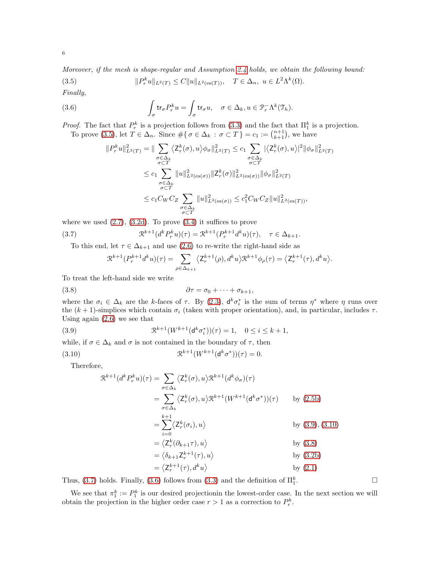<span id="page-5-0"></span>(3.5) 
$$
||P_r^k u||_{L^2(T)} \leq C||u||_{L^2(\text{es}(T))}, \quad T \in \Delta_n, \ u \in L^2\Lambda^k(\Omega).
$$

Finally,

(3.6) 
$$
\int_{\sigma} tr_{\sigma} P_r^k u = \int_{\sigma} tr_{\sigma} u, \quad \sigma \in \Delta_k, u \in \mathcal{P}_r^{-} \Lambda^k(\mathcal{T}_h).
$$

*Proof.* The fact that  $P_r^k$  is a projection follows from [\(3.3\)](#page-4-4) and the fact that  $\Pi_1^k$  is a projection. To prove [\(3.5\)](#page-5-0), let  $T \in \Delta_n$ . Since  $\#\{\sigma \in \Delta_k : \sigma \subset T\} = c_1 := \binom{n+1}{k+1}$ , we have

<span id="page-5-5"></span>
$$
||P_r^k u||_{L^2(T)}^2 = ||\sum_{\substack{\sigma \in \Delta_k \\ \sigma \subset T}} \langle Z_r^k(\sigma), u \rangle \phi_{\sigma}||_{L^2(T)}^2 \le c_1 \sum_{\substack{\sigma \in \Delta_k \\ \sigma \subset T}} |\langle Z_r^k(\sigma), u \rangle|^2 ||\phi_{\sigma}||_{L^2(T)}^2
$$
  

$$
\le c_1 \sum_{\substack{\sigma \in \Delta_k \\ \sigma \subset T}} ||u||_{L^2(\text{es}(\sigma))}^2 ||Z_r^k(\sigma)||_{L^2(\text{es}(\sigma))}^2 ||\phi_{\sigma}||_{L^2(T)}^2
$$
  

$$
\le c_1 C_W C_Z \sum_{\substack{\sigma \in \Delta_k \\ \sigma \subset T}} ||u||_{L^2(\text{es}(\sigma))}^2 \le c_1^2 C_W C_Z ||u||_{L^2(\text{es}(T))}^2,
$$

where we used  $(2.7)$ ,  $(3.2d)$ . To prove  $(3.4)$  it suffices to prove

(3.7) 
$$
\mathcal{R}^{k+1}(d^k P_r^k u)(\tau) = \mathcal{R}^{k+1}(P_r^{k+1} d^k u)(\tau), \quad \tau \in \Delta_{k+1}.
$$

To this end, let  $\tau \in \Delta_{k+1}$  and use [\(2.6\)](#page-3-3) to re-write the right-hand side as

<span id="page-5-4"></span><span id="page-5-3"></span>
$$
\mathfrak{R}^{k+1}(P_r^{k+1}d^ku)(\tau) = \sum_{\rho \in \Delta_{k+1}} \langle \mathsf{Z}_r^{k+1}(\rho), d^ku \rangle \mathfrak{R}^{k+1} \phi_\rho(\tau) = \langle \mathsf{Z}_r^{k+1}(\tau), d^ku \rangle.
$$

To treat the left-hand side we write

$$
\partial \tau = \sigma_0 + \cdots + \sigma_{k+1},
$$

where the  $\sigma_i \in \Delta_k$  are the k-faces of  $\tau$ . By [\(2.3\)](#page-2-0),  $\mathsf{d}^k \sigma_i^*$  is the sum of terms  $\eta^*$  where  $\eta$  runs over the  $(k + 1)$ -simplices which contain  $\sigma_i$  (taken with proper orientation), and, in particular, includes  $\tau$ . Using again [\(2.6\)](#page-3-3) we see that

(3.9) 
$$
\mathcal{R}^{k+1}(W^{k+1}(\mathbf{d}^k \sigma_i^*))(\tau) = 1, \quad 0 \le i \le k+1,
$$

while, if  $\sigma \in \Delta_k$  and  $\sigma$  is not contained in the boundary of  $\tau$ , then

(3.10) 
$$
\mathfrak{R}^{k+1}(W^{k+1}(\mathsf{d}^k\sigma^*))(\tau) = 0.
$$

Therefore,

<span id="page-5-2"></span><span id="page-5-1"></span>
$$
\mathcal{R}^{k+1}(d^k P_r^k u)(\tau) = \sum_{\sigma \in \Delta_k} \langle Z_r^k(\sigma), u \rangle \mathcal{R}^{k+1}(d^k \phi_{\sigma})(\tau)
$$
  
\n
$$
= \sum_{\sigma \in \Delta_k} \langle Z_r^k(\sigma), u \rangle \mathcal{R}^{k+1}(W^{k+1}(d^k \sigma^*))(\tau) \qquad \text{by (2.5b)}
$$
  
\n
$$
= \sum_{i=0}^{k+1} \langle Z_r^k(\sigma_i), u \rangle \qquad \text{by (3.9), (3.10)}
$$
  
\n
$$
= \langle Z_r^k(\partial_{k+1} \tau), u \rangle \qquad \text{by (3.8)}
$$
  
\n
$$
= \langle Z_r^{k+1}(\tau), d^k u \rangle \qquad \text{by (3.2b)}
$$
  
\n
$$
= \langle Z_r^{k+1}(\tau), d^k u \rangle \qquad \text{by (2.1)}
$$

Thus, [\(3.7\)](#page-5-4) holds. Finally, [\(3.6\)](#page-5-5) follows from [\(3.3\)](#page-4-4) and the definition of  $\Pi_1^k$ 

We see that  $\pi_1^k := P_1^k$  is our desired projectionin the lowest-order case. In the next section we will obtain the projection in the higher order case  $r > 1$  as a correction to  $P_r^k$ .

. — Первый профессиональный профессиональный профессиональный профессиональный профессиональный профессиональн<br>В собстановки профессиональный профессиональный профессиональный профессиональный профессиональный профессиона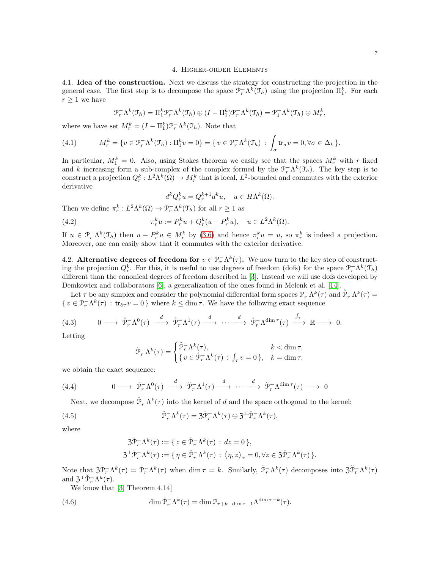## 4. Higher-order Elements

4.1. Idea of the construction. Next we discuss the strategy for constructing the projection in the general case. The first step is to decompose the space  $\mathcal{P}_r^-\Lambda^k(\mathcal{I}_h)$  using the projection  $\Pi_1^k$ . For each  $r > 1$  we have

<span id="page-6-1"></span>
$$
\mathcal{P}_r^{-} \Lambda^k(\mathfrak{T}_h) = \Pi_1^k \mathcal{P}_r^{-} \Lambda^k(\mathfrak{T}_h) \oplus (I - \Pi_1^k) \mathcal{P}_r^{-} \Lambda^k(\mathfrak{T}_h) = \mathcal{P}_1^{-} \Lambda^k(\mathfrak{T}_h) \oplus M_r^k,
$$

where we have set  $M_r^k = (I - \Pi_1^k) \mathcal{P}_r^{-} \Lambda^k(\mathcal{I}_h)$ . Note that

(4.1) 
$$
M_r^k = \{v \in \mathcal{P}_r^-\Lambda^k(\mathfrak{T}_h) : \Pi_1^k v = 0\} = \{v \in \mathcal{P}_r^-\Lambda^k(\mathfrak{T}_h) : \int_{\sigma} \mathsf{tr}_{\sigma} v = 0, \forall \sigma \in \Delta_k\}.
$$

In particular,  $M_1^k = 0$ . Also, using Stokes theorem we easily see that the spaces  $M_r^k$  with r fixed and k increasing form a sub-complex of the complex formed by the  $\mathcal{P}_r^-\Lambda^k(\mathcal{T}_h)$ . The key step is to construct a projection  $Q_r^k: L^2\Lambda^k(\Omega) \to M_r^k$  that is local,  $L^2$ -bounded and commutes with the exterior derivative

<span id="page-6-2"></span>
$$
d^k Q_r^k u = Q_r^{k+1} d^k u, \quad u \in H\Lambda^k(\Omega).
$$

Then we define  $\pi_r^k: L^2\Lambda^k(\Omega) \to \mathcal{P}_r^{-}\Lambda^k(\mathcal{T}_h)$  for all  $r \geq 1$  as

(4.2) 
$$
\pi_r^k u := P_r^k u + Q_r^k (u - P_r^k u), \quad u \in L^2 \Lambda^k(\Omega).
$$

If  $u \in \mathcal{P}_r^{-}\Lambda^k(\mathcal{T}_h)$  then  $u - P_r^k u \in M_r^k$  by [\(3.6\)](#page-5-5) and hence  $\pi_r^k u = u$ , so  $\pi_r^k$  is indeed a projection. Moreover, one can easily show that it commutes with the exterior derivative.

4.2. Alternative degrees of freedom for  $v \in \mathcal{P}_r^{-} \Lambda^k(\tau)$ . We now turn to the key step of constructing the projection  $Q_r^k$ . For this, it is useful to use degrees of freedom (dofs) for the space  $\mathcal{P}_r^-\Lambda^k(\mathcal{T}_h)$ different than the canonical degrees of freedom described in [\[3\]](#page-13-1). Instead we will use dofs developed by Demkowicz and collaborators [\[6\]](#page-13-9), a generalization of the ones found in Melenk et al. [\[14\]](#page-14-3).

Let  $\tau$  be any simplex and consider the polynomial differential form spaces  $\mathcal{P}^-_r\Lambda^k(\tau)$  and  $\mathcal{P}^-_r\Lambda^k(\tau)$  $\{v \in \mathcal{P}_r^{-}\Lambda^k(\tau) : \text{tr}_{\partial \tau}v = 0\}$  where  $k \leq \dim \tau$ . We have the following exact sequence

<span id="page-6-0"></span>
$$
(4.3) \qquad 0 \longrightarrow \stackrel{\circ}{\mathcal{P}}_{r}^{-}\Lambda^{0}(\tau) \stackrel{d}{\longrightarrow} \stackrel{\circ}{\mathcal{P}}_{r}^{-}\Lambda^{1}(\tau) \stackrel{d}{\longrightarrow} \cdots \stackrel{d}{\longrightarrow} \stackrel{\circ}{\mathcal{P}}_{r}^{-}\Lambda^{\dim \tau}(\tau) \stackrel{\int_{\tau}}{\longrightarrow} \mathbb{R} \longrightarrow 0.
$$

Letting

$$
\breve{\mathcal{P}}_{r}^{-} \Lambda^{k}(\tau) = \begin{cases} \mathring{\mathcal{P}}_{r}^{-} \Lambda^{k}(\tau), & k < \dim \tau, \\ \{ v \in \mathring{\mathcal{P}}_{r}^{-} \Lambda^{k}(\tau) \, : \, \int_{\tau} v = 0 \, \}, & k = \dim \tau, \end{cases}
$$

we obtain the exact sequence:

(4.4) 
$$
0 \longrightarrow \check{\mathcal{P}}_r^{-} \Lambda^0(\tau) \stackrel{d}{\longrightarrow} \check{\mathcal{P}}_r^{-} \Lambda^1(\tau) \stackrel{d}{\longrightarrow} \cdots \stackrel{d}{\longrightarrow} \check{\mathcal{P}}_r^{-} \Lambda^{\dim \tau}(\tau) \longrightarrow 0
$$

Next, we decompose  $\mathring{\mathcal{P}}_r^-\Lambda^k(\tau)$  into the kernel of d and the space orthogonal to the kernel:

(4.5) 
$$
\mathring{\mathcal{P}}_r^{-} \Lambda^k(\tau) = \mathfrak{Z} \mathring{\mathcal{P}}_r^{-} \Lambda^k(\tau) \oplus \mathfrak{Z}^{\perp} \mathring{\mathcal{P}}_r^{-} \Lambda^k(\tau),
$$

where

$$
\begin{aligned} \mathfrak{Z} \mathring{\mathcal{P}}_r^{-} \Lambda^k(\tau) &:= \{ \, z \in \mathring{\mathcal{P}}_r^{-} \Lambda^k(\tau) \, : \, dz = 0 \, \}, \\ \mathfrak{Z}^\perp \mathring{\mathcal{P}}_r^{-} \Lambda^k(\tau) &:= \{ \, \eta \in \mathring{\mathcal{P}}_r^{-} \Lambda^k(\tau) \, : \, \big\langle \eta, z \big\rangle_\tau = 0, \forall z \in \mathfrak{Z} \mathring{\mathcal{P}}_r^{-} \Lambda^k(\tau) \, \}. \end{aligned}
$$

Note that  $\mathfrak{Z} \mathfrak{P}^-_r \Lambda^k(\tau) = \mathfrak{P}^-_r \Lambda^k(\tau)$  when  $\dim \tau = k$ . Similarly,  $\mathfrak{P}^-_r \Lambda^k(\tau)$  decomposes into  $\mathfrak{Z} \mathfrak{P}^-_r \Lambda^k(\tau)$ and  $\mathfrak{Z}^{\perp} \check{\mathcal{P}}_{r}^{-} \Lambda^{k}(\tau)$ .

We know that [\[3,](#page-13-1) Theorem 4.14]

(4.6) 
$$
\dim \mathring{\mathcal{P}}_r^-\Lambda^k(\tau) = \dim \mathcal{P}_{r+k-\dim \tau-1}\Lambda^{\dim \tau-k}(\tau).
$$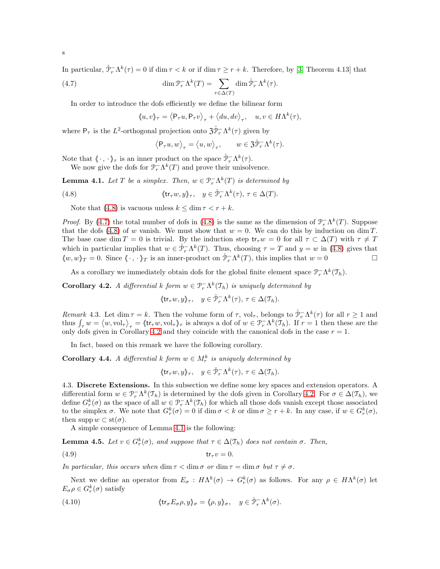In particular,  $\mathring{\mathcal{P}}_r^-\Lambda^k(\tau) = 0$  if dim  $\tau < k$  or if dim  $\tau \ge r + k$ . Therefore, by [\[3,](#page-13-1) Theorem 4.13] that

(4.7) 
$$
\dim \mathcal{P}_r^{-} \Lambda^k(T) = \sum_{\tau \in \Delta(T)} \dim \mathcal{P}_r^{-} \Lambda^k(\tau).
$$

In order to introduce the dofs efficiently we define the bilinear form

<span id="page-7-1"></span>
$$
\langle u,v\rangle_\tau=\left\langle \mathsf{P}_\tau u,\mathsf{P}_\tau v\right\rangle_\tau+\left\langle du,dv\right\rangle_\tau,\quad u,v\in H\Lambda^k(\tau),
$$

where  $P_{\tau}$  is the L<sup>2</sup>-orthogonal projection onto  $\mathfrak{Z} \mathfrak{P}^{-}_{r} \Lambda^{k}(\tau)$  given by

$$
\left\langle \mathsf{P}_{\tau} u, w \right\rangle_{\tau} = \left\langle u, w \right\rangle_{\tau}, \qquad w \in \mathfrak{Z} \mathring{\mathcal{P}}^{-}_{r} \Lambda^{k}(\tau).
$$

Note that  $\langle \cdot, \cdot \rangle_{\tau}$  is an inner product on the space  $\mathring{\mathcal{P}}_{r}^{-} \Lambda^{k}(\tau)$ .

We now give the dofs for  $\mathcal{P}_r^-\Lambda^k(T)$  and prove their unisolvence.

<span id="page-7-3"></span>**Lemma 4.1.** Let T be a simplex. Then,  $w \in \mathcal{P}_r^{-} \Lambda^k(T)$  is determined by

<span id="page-7-0"></span>(4.8) 
$$
\langle \text{tr}_{\tau} w, y \rangle_{\tau}, \quad y \in \mathring{\mathcal{P}}_{r}^{-} \Lambda^{k}(\tau), \ \tau \in \Delta(T).
$$

Note that [\(4.8\)](#page-7-0) is vacuous unless  $k \leq \dim \tau < r + k$ .

*Proof.* By [\(4.7\)](#page-7-1) the total number of dofs in [\(4.8\)](#page-7-0) is the same as the dimension of  $\mathcal{P}_r^-\Lambda^k(T)$ . Suppose that the dofs [\(4.8\)](#page-7-0) of w vanish. We must show that  $w = 0$ . We can do this by induction on dim T. The base case dim T = 0 is trivial. By the induction step  $tr_{\tau}w = 0$  for all  $\tau \subset \Delta(T)$  with  $\tau \neq T$ which in particular implies that  $w \in \mathring{\mathcal{P}}_r^-\Lambda^k(T)$ . Thus, choosing  $\tau = T$  and  $y = w$  in [\(4.8\)](#page-7-0) gives that  $\langle w, w \rangle_T = 0$ . Since  $\langle \cdot, \cdot \rangle_T$  is an inner-product on  $\mathring{\mathcal{P}}_r^{-} \Lambda^k(T)$ , this implies that  $w = 0$ 

As a corollary we immediately obtain dofs for the global finite element space  $\mathcal{P}_r^{-} \Lambda^k(\mathcal{T}_h)$ .

<span id="page-7-2"></span>**Corollary 4.2.** A differential k form  $w \in \mathcal{P}_r^{\dagger} \Lambda^k(\mathcal{T}_h)$  is uniquely determined by

$$
\langle \mathsf{tr}_{\tau} w, y \rangle_{\tau}, \quad y \in \mathring{\mathcal{P}}_{r}^{-} \Lambda^{k}(\tau), \, \tau \in \Delta(\mathfrak{T}_{h}).
$$

<span id="page-7-5"></span>Remark 4.3. Let dim  $\tau = k$ . Then the volume form of  $\tau$ , vol<sub> $\tau$ </sub>, belongs to  $\mathring{\mathcal{P}}_r^-\Lambda^k(\tau)$  for all  $r \ge 1$  and thus  $\int_{\tau} w = \langle w, \text{vol}_{\tau} \rangle_{\tau} = \langle \text{tr}_{\tau} w, \text{vol}_{\tau} \rangle_{\tau}$  is always a dof of  $w \in \mathcal{P}_{r}^{-} \Lambda^{k}(\mathcal{T}_{h})$ . If  $r = 1$  then these are the only dofs given in Corollary [4.2](#page-7-2) and they coincide with the canonical dofs in the case  $r = 1$ .

In fact, based on this remark we have the following corollary.

<span id="page-7-7"></span>**Corollary 4.4.** A differential k form  $w \in M_r^k$  is uniquely determined by

<span id="page-7-4"></span>
$$
\langle \mathsf{tr}_{\tau} w, y \rangle_{\tau}, \quad y \in \breve{\mathcal{P}}_{r}^{-} \Lambda^{k}(\tau), \, \tau \in \Delta(\mathcal{T}_{h}).
$$

4.3. Discrete Extensions. In this subsection we define some key spaces and extension operators. A differential form  $w \in \mathcal{P}_r^-\Lambda^k(\mathcal{T}_h)$  is determined by the dofs given in Corollary [4.2.](#page-7-2) For  $\sigma \in \Delta(\mathcal{T}_h)$ , we define  $G_r^k(\sigma)$  as the space of all  $w \in \mathcal{P}_r^{-}\Lambda^k(\mathcal{T}_h)$  for which all those dofs vanish except those associated to the simplex  $\sigma$ . We note that  $G_r^k(\sigma) = 0$  if  $\dim \sigma < k$  or  $\dim \sigma \geq r + k$ . In any case, if  $w \in G_r^k(\sigma)$ , then supp  $w \subset \text{st}(\sigma)$ .

A simple consequence of Lemma [4.1](#page-7-3) is the following:

**Lemma 4.5.** Let  $v \in G_r^k(\sigma)$ , and suppose that  $\tau \in \Delta(\mathfrak{T}_h)$  does not contain  $\sigma$ . Then,

(4.9) tr<sup>τ</sup> v = 0.

In particular, this occurs when  $\dim \tau < \dim \sigma$  or  $\dim \tau = \dim \sigma$  but  $\tau \neq \sigma$ .

Next we define an operator from  $E_{\sigma}: H\Lambda^k(\sigma) \to G_r^k(\sigma)$  as follows. For any  $\rho \in H\Lambda^k(\sigma)$  let  $E_{\sigma}\rho \in G_r^k(\sigma)$  satisfy

<span id="page-7-6"></span>(4.10) 
$$
\langle \text{tr}_{\sigma} E_{\sigma} \rho, y \rangle_{\sigma} = \langle \rho, y \rangle_{\sigma}, \quad y \in \mathring{\mathcal{P}}_r^{-} \Lambda^k(\sigma).
$$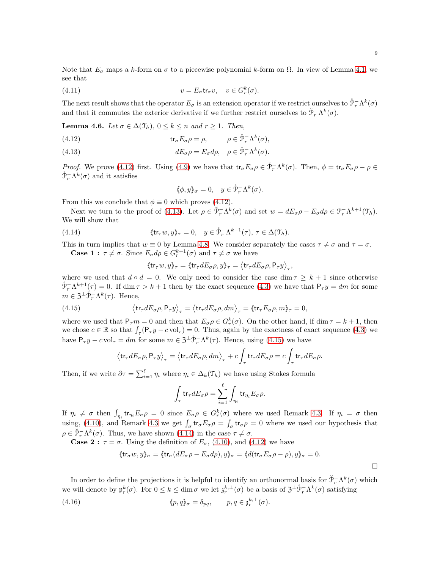Note that  $E_{\sigma}$  maps a k-form on  $\sigma$  to a piecewise polynomial k-form on  $\Omega$ . In view of Lemma [4.1,](#page-7-3) we see that

(4.11) 
$$
v = E_{\sigma} \text{tr}_{\sigma} v, \quad v \in G_r^k(\sigma).
$$

The next result shows that the operator  $E_{\sigma}$  is an extension operator if we restrict ourselves to  $\mathring{\mathcal{P}}_r^{-}\Lambda^k(\sigma)$ and that it commutes the exterior derivative if we further restrict ourselves to  $\check{\mathcal{P}}_r^{-} \Lambda^k(\sigma)$ .

**Lemma 4.6.** Let  $\sigma \in \Delta(\mathfrak{T}_h)$ ,  $0 \leq k \leq n$  and  $r \geq 1$ . Then,

- <span id="page-8-0"></span>(4.12)  $\operatorname{tr}_{\sigma} E_{\sigma} \rho = \rho, \qquad \rho \in \mathring{\mathcal{P}}_r^{-} \Lambda^k(\sigma),$
- <span id="page-8-1"></span>(4.13)  $dE_{\sigma}\rho = E_{\sigma}d\rho, \quad \rho \in \breve{\mathcal{P}}_r^{-}\Lambda^k(\sigma).$

*Proof.* We prove [\(4.12\)](#page-8-0) first. Using [\(4.9\)](#page-7-4) we have that  $tr_{\sigma} E_{\sigma} \rho \in \mathring{\mathcal{P}}_r^{-} \Lambda^k(\sigma)$ . Then,  $\phi = tr_{\sigma} E_{\sigma} \rho - \rho \in$  $\mathring{\mathcal{P}}_r^{-} \Lambda^k(\sigma)$  and it satisfies

$$
\langle \phi, y \rangle_{\sigma} = 0, \quad y \in \mathring{\mathcal{P}}_r^{-} \Lambda^k(\sigma).
$$

From this we conclude that  $\phi \equiv 0$  which proves [\(4.12\)](#page-8-0).

Next we turn to the proof of [\(4.13\)](#page-8-1). Let  $\rho \in \check{\mathcal{P}}_r^{-} \Lambda^k(\sigma)$  and set  $w = dE_{\sigma}\rho - E_{\sigma}d\rho \in \mathcal{P}_r^{-} \Lambda^{k+1}(\mathcal{I}_h)$ . We will show that

<span id="page-8-3"></span>(4.14) 
$$
\langle \mathsf{tr}_{\tau} w, y \rangle_{\tau} = 0, \quad y \in \mathring{\mathcal{P}}_{r}^{-} \Lambda^{k+1}(\tau), \tau \in \Delta(\mathcal{T}_{h}).
$$

This in turn implies that  $w \equiv 0$  by Lemma [4.8.](#page-7-0) We consider separately the cases  $\tau \neq \sigma$  and  $\tau = \sigma$ . **Case 1**:  $\tau \neq \sigma$ . Since  $E_{\sigma} d\rho \in G_r^{k+1}(\sigma)$  and  $\tau \neq \sigma$  we have

<span id="page-8-2"></span>
$$
\langle \text{tr}_\tau w, y \rangle\!\!\}_{\tau} = \langle \text{tr}_\tau dE_\sigma \rho, y \rangle\!\!\}_{\tau} = \big\langle \text{tr}_\tau dE_\sigma \rho, \mathsf{P}_\tau y \big\rangle_{\tau},
$$

where we used that  $d \circ d = 0$ . We only need to consider the case dim  $\tau \geq k+1$  since otherwise  $\mathring{\mathcal{P}}_r^-\Lambda^{k+1}(\tau) = 0$ . If  $\dim \tau > k+1$  then by the exact sequence [\(4.3\)](#page-6-0) we have that  $\mathsf{P}_\tau y = dm$  for some  $m \in \mathfrak{Z}^{\perp} \mathring{\mathcal{P}}_r^{-} \Lambda^k(\tau)$ . Hence,

(4.15) 
$$
\left\langle \text{tr}_{\tau} dE_{\sigma} \rho, \mathsf{P}_{\tau} y \right\rangle_{\tau} = \left\langle \text{tr}_{\tau} dE_{\sigma} \rho, dm \right\rangle_{\tau} = \left\langle \text{tr}_{\tau} E_{\sigma} \rho, m \right\rangle_{\tau} = 0,
$$

where we used that  $P_{\tau}m=0$  and then that  $E_{\sigma}\rho\in G_r^k(\sigma)$ . On the other hand, if dim  $\tau=k+1$ , then we chose  $c \in \mathbb{R}$  so that  $\int_{\tau} (\mathsf{P}_{\tau} y - c \text{ vol}_{\tau}) = 0$ . Thus, again by the exactness of exact sequence [\(4.3\)](#page-6-0) we have  $P_{\tau}y - c \text{vol}_{\tau} = dm$  for some  $m \in \mathfrak{Z}^{\perp}\mathring{\mathcal{P}}_{r}^{-}\Lambda^{k}(\tau)$ . Hence, using [\(4.15\)](#page-8-2) we have

$$
\left\langle \mathrm{tr}_\tau dE_\sigma \rho, \mathsf{P}_\tau y \right\rangle_\tau = \left\langle \mathrm{tr}_\tau dE_\sigma \rho, dm \right\rangle_\tau + c\int_\tau \mathrm{tr}_\tau dE_\sigma \rho = c\int_\tau \mathrm{tr}_\tau dE_\sigma \rho.
$$

Then, if we write  $\partial \tau = \sum_{i=1}^{\ell} \eta_i$  where  $\eta_i \in \Delta_k(\mathcal{T}_h)$  we have using Stokes formula

$$
\int_{\tau} \text{tr}_{\tau} dE_{\sigma} \rho = \sum_{i=1}^{\ell} \int_{\eta_i} \text{tr}_{\eta_i} E_{\sigma} \rho.
$$

If  $\eta_i \neq \sigma$  then  $\int_{\eta_i} tr_{\eta_i} E_{\sigma} \rho = 0$  since  $E_{\sigma} \rho \in G_r^k(\sigma)$  where we used Remark [4.3.](#page-7-5) If  $\eta_i = \sigma$  then using, [\(4.10\)](#page-7-6), and Remark [4.3](#page-7-5) we get  $\int_{\sigma}$  tr<sub> $\sigma E_{\sigma} \rho = \int_{\sigma}$  tr<sub> $\sigma$ </sub> $\rho = 0$  where we used our hypothesis that</sub>  $\rho \in \check{\mathcal{P}}_r^{-} \Lambda^k(\sigma)$ . Thus, we have shown [\(4.14\)](#page-8-3) in the case  $\tau \neq \sigma$ .

**Case 2 :**  $\tau = \sigma$ . Using the definition of  $E_{\sigma}$ , [\(4.10\)](#page-7-6), and [\(4.12\)](#page-8-0) we have

$$
\langle \text{tr}_{\sigma} w, y \rangle_{\sigma} = \langle \text{tr}_{\sigma} (dE_{\sigma} \rho - E_{\sigma} d\rho), y \rangle_{\sigma} = \langle d(\text{tr}_{\sigma} E_{\sigma} \rho - \rho), y \rangle_{\sigma} = 0.
$$

In order to define the projections it is helpful to identify an orthonormal basis for  $\mathcal{P}^-_r \Lambda^k(\sigma)$  which we will denote by  $\mathfrak{p}_r^k(\sigma)$ . For  $0 \leq k \leq \dim \sigma$  we let  $\mathfrak{z}_r^{k,\perp}(\sigma)$  be a basis of  $\mathfrak{Z}^{\perp} \mathfrak{P}_r^{-} \Lambda^k(\sigma)$  satisfying

(4.16) 
$$
\langle p, q \rangle_{\sigma} = \delta_{pq}, \qquad p, q \in \mathfrak{z}_r^{k, \perp}(\sigma).
$$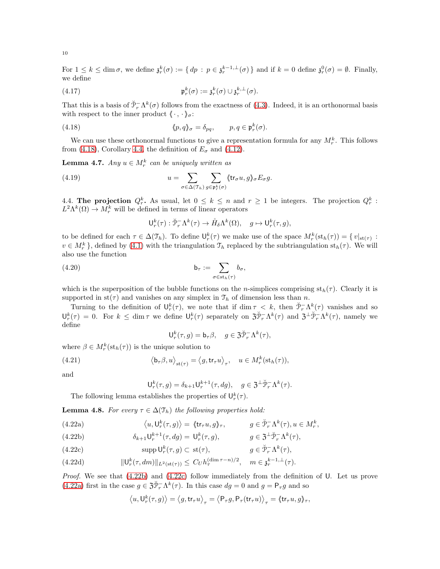For  $1 \leq k \leq \dim \sigma$ , we define  $\mathfrak{z}_r^k(\sigma) := \{ dp : p \in \mathfrak{z}_r^{k-1, \perp}(\sigma) \}$  and if  $k = 0$  define  $\mathfrak{z}_r^0(\sigma) = \emptyset$ . Finally, we define

<span id="page-9-7"></span>(4.17) 
$$
\mathfrak{p}_r^k(\sigma) := \mathfrak{z}_r^k(\sigma) \cup \mathfrak{z}_r^{k,\perp}(\sigma).
$$

That this is a basis of  $\mathcal{F}_{r}^{-}\Lambda^{k}(\sigma)$  follows from the exactness of [\(4.3\)](#page-6-0). Indeed, it is an orthonormal basis with respect to the inner product  $\langle \cdot, \cdot \rangle_{\sigma}$ :

(4.18) 
$$
\langle p, q \rangle_{\sigma} = \delta_{pq}, \qquad p, q \in \mathfrak{p}_r^k(\sigma).
$$

We can use these orthonormal functions to give a representation formula for any  $M_r^k$ . This follows from [\(4.18\)](#page-9-0), Corollary [4.4,](#page-7-7) the definition of  $E_{\sigma}$  and [\(4.12\)](#page-8-0).

**Lemma 4.7.** Any  $u \in M_r^k$  can be uniquely written as

(4.19) 
$$
u = \sum_{\sigma \in \Delta(\mathfrak{T}_h)} \sum_{g \in \mathfrak{p}_r^k(\sigma)} \langle \text{tr}_{\sigma} u, g \rangle_{\sigma} E_{\sigma} g.
$$

4.4. The projection  $Q_r^k$ . As usual, let  $0 \leq k \leq n$  and  $r \geq 1$  be integers. The projection  $Q_r^k$ :  $L^2 \Lambda^k(\Omega) \to M_r^k$  will be defined in terms of linear operators

<span id="page-9-8"></span><span id="page-9-6"></span><span id="page-9-0"></span>
$$
\mathsf{U}_{r}^{k}(\tau):\check{\mathcal{P}}_{r}^{-}\Lambda^{k}(\tau)\to\mathring{H}_{\delta}\Lambda^{k}(\Omega),\quad g\mapsto\mathsf{U}_{r}^{k}(\tau,g),
$$

to be defined for each  $\tau \in \Delta(\mathcal{T}_h)$ . To define  $\mathsf{U}_r^k(\tau)$  we make use of the space  $M_r^k(\mathrm{st}_h(\tau)) = \{v|_{\mathrm{st}(\tau)} :$  $v \in M_r^k$ , defined by [\(4.1\)](#page-6-1) with the triangulation  $\mathfrak{T}_h$  replaced by the subtriangulation st<sub>h</sub>( $\tau$ ). We will also use the function

(4.20) 
$$
\mathsf{b}_{\tau} := \sum_{\sigma \in \text{st}_h(\tau)} b_{\sigma},
$$

which is the superposition of the bubble functions on the n-simplices comprising  $\operatorname{st}_h(\tau)$ . Clearly it is supported in  $st(\tau)$  and vanishes on any simplex in  $\mathcal{T}_h$  of dimension less than n.

Turning to the definition of  $\mathsf{U}_r^k(\tau)$ , we note that if dim  $\tau < k$ , then  $\check{\mathcal{P}}_r^{-} \Lambda^k(\tau)$  vanishes and so  $\mathsf{U}_r^k(\tau) = 0$ . For  $k \leq \dim \tau$  we define  $\mathsf{U}_r^k(\tau)$  separately on  $\mathfrak{Z} \check{\mathcal{P}}_r^{-} \Lambda^k(\tau)$  and  $\mathfrak{Z}^{\perp} \check{\mathcal{P}}_r^{-} \Lambda^k(\tau)$ , namely we define

$$
\mathsf{U}_{r}^{k}(\tau,g) = \mathsf{b}_{\tau}\beta, \quad g \in \mathfrak{Z}\breve{\mathcal{P}}_{r}^{-}\Lambda^{k}(\tau),
$$

where  $\beta \in M_r^k(\operatorname{st}_h(\tau))$  is the unique solution to

(4.21) 
$$
\langle \mathbf{b}_{\tau} \beta, u \rangle_{\mathbf{st}(\tau)} = \langle g, \mathbf{tr}_{\tau} u \rangle_{\tau}, \quad u \in M_r^k(\mathbf{st}_h(\tau)),
$$

and

<span id="page-9-4"></span>
$$
\mathsf{U}_{r}^{k}(\tau,g)=\delta_{k+1}\mathsf{U}_{r}^{k+1}(\tau,dg),\quad g\in \mathfrak{Z}^{\perp}\breve{\mathcal{P}}_{r}^{-}\Lambda^{k}(\tau).
$$

The following lemma establishes the properties of  $\mathsf{U}_r^k(\tau)$ .

**Lemma 4.8.** For every  $\tau \in \Delta(\mathcal{T}_h)$  the following properties hold:

<span id="page-9-3"></span>(4.22a) 
$$
\langle u, U_r^k(\tau, g) \rangle = \langle \text{tr}_\tau u, g \rangle_\tau, \qquad g \in \check{\mathcal{P}}_r^{-} \Lambda^k(\tau), u \in M_r^k,
$$

<span id="page-9-1"></span>(4.22b) 
$$
\delta_{k+1} \mathsf{U}_r^{k+1}(\tau, dg) = \mathsf{U}_r^k(\tau, g), \qquad g \in \mathfrak{Z}^\perp \check{\mathcal{P}}_r^{-} \Lambda^k(\tau),
$$

<span id="page-9-2"></span>(4.22c) 
$$
\operatorname{supp} \mathsf{U}_r^k(\tau, g) \subset \operatorname{st}(\tau), \qquad g \in \check{\mathcal{P}}_r^{-} \Lambda^k(\tau),
$$

<span id="page-9-5"></span>(4.22d) 
$$
\|\mathsf{U}_r^k(\tau, dm)\|_{L^2(\text{st}(\tau))} \leq C_U h_\tau^{(\dim \tau - n)/2}, \quad m \in \mathfrak{z}_r^{k-1, \perp}(\tau).
$$

*Proof.* We see that  $(4.22b)$  and  $(4.22c)$  follow immediately from the definition of U. Let us prove [\(4.22a\)](#page-9-3) first in the case  $g \in \mathfrak{Z} \check{\mathcal{P}}_r^{-} \Lambda^k(\tau)$ . In this case  $dg = 0$  and  $g = \mathsf{P}_\tau g$  and so

$$
\left\langle u, \mathsf{U}_r^k(\tau, g) \right\rangle = \left\langle g, \mathsf{tr}_\tau u \right\rangle_\tau = \left\langle \mathsf{P}_\tau g, \mathsf{P}_\tau(\mathsf{tr}_\tau u) \right\rangle_\tau = \left\langle \mathsf{tr}_\tau u, g \right\rangle_\tau,
$$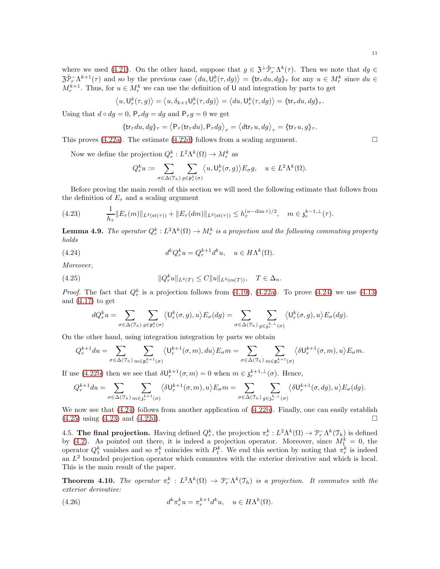where we used [\(4.21\)](#page-9-4). On the other hand, suppose that  $g \in \mathfrak{Z}^{\perp} \check{\mathcal{P}}_r^{-} \Lambda^k(\tau)$ . Then we note that  $dg \in$  $\langle \partial \Psi_r^T \Lambda^{k+1}(\tau) \rangle$  and so by the previous case  $\langle du, \Psi_r^k(\tau, dg) \rangle = \langle \text{tr}_{\tau} du, dg \rangle_{\tau}$  for any  $u \in M_r^k$  since  $du \in L^2(\mathbb{R}^d)$  $M_r^{k+1}$ . Thus, for  $u \in M_r^k$  we can use the definition of U and integration by parts to get

$$
\langle u, \mathsf{U}_r^k(\tau, g) \rangle = \langle u, \delta_{k+1} \mathsf{U}_r^k(\tau, dg) \rangle = \langle du, \mathsf{U}_r^k(\tau, dg) \rangle = \langle \mathsf{tr}_\tau du, dg \rangle_\tau.
$$

Using that  $d \circ dg = 0$ ,  $P_{\tau} dg = dg$  and  $P_{\tau} g = 0$  we get

$$
\left\langle \mathrm{tr}_\tau du, dg \right\rangle_{\tau} = \left\langle \mathsf{P}_\tau(\mathrm{tr}_\tau du), \mathsf{P}_\tau dg \right\rangle_{\tau} = \left\langle d\mathrm{tr}_\tau u, dg \right\rangle_{\tau} = \left\langle \mathrm{tr}_\tau u, g \right\rangle_{\tau}.
$$

This proves [\(4.22a\)](#page-9-3). The estimate [\(4.22d\)](#page-9-5) follows from a scaling argument.  $\square$ 

Now we define the projection  $Q_r^k: L^2\Lambda^k(\Omega) \to M_r^k$  as

<span id="page-10-1"></span>
$$
Q_r^k u := \sum_{\sigma \in \Delta(\mathfrak{T}_h)} \sum_{g \in \mathfrak{p}_r^k(\sigma)} \langle u, \mathsf{U}_r^k(\sigma, g) \rangle E_{\sigma} g, \quad u \in L^2 \Lambda^k(\Omega).
$$

Before proving the main result of this section we will need the following estimate that follows from the definition of  $E_{\tau}$  and a scaling argument

<span id="page-10-3"></span>
$$
(4.23) \qquad \frac{1}{h_{\tau}} \|E_{\tau}(m)\|_{L^{2}(\mathrm{st}(\tau))} + \|E_{\tau}(dm)\|_{L^{2}(\mathrm{st}(\tau))} \leq h_{\tau}^{(n-\dim \tau)/2}, \quad m \in \mathfrak{z}_{r}^{k-1, \perp}(\tau).
$$

**Lemma 4.9.** The operator  $Q_r^k: L^2\Lambda^k(\Omega) \to M_r^k$  is a projection and the following commuting property holds

(4.24) 
$$
d^k Q_r^k u = Q_r^{k+1} d^k u, \quad u \in H\Lambda^k(\Omega).
$$

Moreover,

(4.25) 
$$
||Q_r^k u||_{L^2(T)} \leq C||u||_{L^2(\text{es}(T))}, \quad T \in \Delta_n.
$$

*Proof.* The fact that  $Q_r^k$  is a projection follows from [\(4.19\)](#page-9-6), [\(4.22a\)](#page-9-3). To prove [\(4.24\)](#page-10-1) we use [\(4.13\)](#page-8-1) and  $(4.17)$  to get

<span id="page-10-2"></span>
$$
dQ_r^ku=\sum_{\sigma\in\Delta(\mathfrak{T}_h)}\sum_{g\in\mathfrak{p}_r^k(\sigma)}\big\langle \mathsf{U}_r^k(\sigma,g),u\big\rangle E_{\sigma}(dg)=\sum_{\sigma\in\Delta(\mathfrak{T}_h)}\sum_{g\in\mathfrak{z}_r^{k,\perp}(\sigma)}\big\langle \mathsf{U}_r^k(\sigma,g),u\big\rangle E_{\sigma}(dg).
$$

On the other hand, using integration integration by parts we obtain

$$
Q_r^{k+1}du=\sum_{\sigma\in\Delta(\mathfrak{T}_h)}\sum_{m\in\mathfrak{p}_r^{k+1}(\sigma)}\big\langle \mathsf{U}_r^{k+1}(\sigma,m),du\big\rangle E_{\sigma}m=\sum_{\sigma\in\Delta(\mathfrak{T}_h)}\sum_{m\in\mathfrak{p}_r^{k+1}(\sigma)}\big\langle \delta\mathsf{U}_r^{k+1}(\sigma,m),u\big\rangle E_{\sigma}m.
$$

If use [\(4.22b\)](#page-9-1) then we see that  $\delta U_r^{k+1}(\sigma, m) = 0$  when  $m \in \mathfrak{z}_r^{k+1, \perp}(\sigma)$ . Hence,

$$
Q_r^{k+1} du = \sum_{\sigma \in \Delta(\mathfrak{T}_h)} \sum_{m \in \mathfrak{z}_r^{k+1}(\sigma)} \langle \delta \mathsf{U}_r^{k+1}(\sigma, m), u \rangle E_{\sigma} m = \sum_{\sigma \in \Delta(\mathfrak{T}_h)} \sum_{g \in \mathfrak{z}_r^{k, \perp}(\sigma)} \langle \delta \mathsf{U}_r^{k+1}(\sigma, dg), u \rangle E_{\sigma}(dg).
$$

We now see that  $(4.24)$  follows from another application of  $(4.22b)$ . Finally, one can easily establish [\(4.25\)](#page-10-2) using [\(4.23\)](#page-10-3) and [\(4.22d\)](#page-9-5).

4.5. The final projection. Having defined  $Q_r^k$ , the projection  $\pi_r^k: L^2\Lambda^k(\Omega) \to \mathcal{P}_r^-\Lambda^k(\mathcal{I}_h)$  is defined by [\(4.2\)](#page-6-2). As pointed out there, it is indeed a projection operator. Moreover, since  $M_1^k = 0$ , the operator  $Q_1^k$  vanishes and so  $\pi_1^k$  coincides with  $P_1^k$ . We end this section by noting that  $\pi_r^k$  is indeed an  $L^2$  bounded projection operator which commutes with the exterior derivative and which is local. This is the main result of the paper.

<span id="page-10-0"></span>**Theorem 4.10.** The operator  $\pi_r^k : L^2 \Lambda^k(\Omega) \to \mathcal{P}_r^{\dagger} \Lambda^k(\mathcal{I}_h)$  is a projection. It commutes with the exterior derivative:

(4.26) 
$$
d^k \pi_r^k u = \pi_r^{k+1} d^k u, \quad u \in H\Lambda^k(\Omega).
$$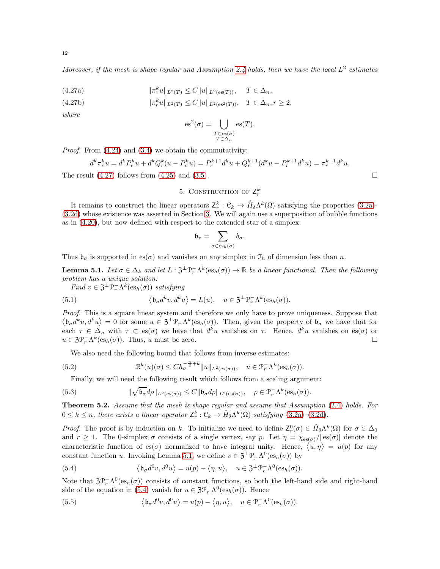<span id="page-11-1"></span>Moreover, if the mesh is shape regular and Assumption [2.4](#page-4-1) holds, then we have the local  $L^2$  estimates

(4.27a) 
$$
\|\pi_1^k u\|_{L^2(T)} \le C \|u\|_{L^2(\text{es}(T))}, \quad T \in \Delta_n,
$$

(4.27b) 
$$
\|\pi_r^k u\|_{L^2(T)} \le C \|u\|_{L^2(\text{es}^2(T))}, \quad T \in \Delta_n, r \ge 2,
$$

where

$$
\mathrm{es}^2(\sigma) = \bigcup_{\substack{T \subset \mathrm{es}(\sigma) \\ T \in \Delta_n}} \mathrm{es}(T).
$$

Proof. From [\(4.24\)](#page-10-1) and [\(3.4\)](#page-4-6) we obtain the commutativity:

$$
d^k \pi_r^k u = d^k P_r^k u + d^k Q_r^k (u - P_r^k u) = P_r^{k+1} d^k u + Q_r^{k+1} (d^k u - P_r^{k+1} d^k u) = \pi_r^{k+1} d^k u.
$$

<span id="page-11-0"></span>The result  $(4.27)$  follows from  $(4.25)$  and  $(3.5)$ .

# 5. CONSTRUCTION OF  $Z_r^k$

It remains to construct the linear operators  $Z_r^k$ :  $\mathcal{C}_k \to \mathring{H}_{\delta} \Lambda^k(\Omega)$  satisfying the properties [\(3.2a\)](#page-4-2)-[\(3.2d\)](#page-4-5) whose existence was asserted in Section [3.](#page-4-0) We will again use a superposition of bubble functions as in [\(4.20\)](#page-9-8), but now defined with respect to the extended star of a simplex:

$$
\mathfrak{b}_\tau = \sum_{\sigma \in \operatorname{es}_h(\sigma)} b_\sigma.
$$

Thus  $\mathfrak{b}_{\sigma}$  is supported in es( $\sigma$ ) and vanishes on any simplex in  $\mathfrak{T}_h$  of dimension less than n.

<span id="page-11-2"></span>**Lemma 5.1.** Let  $\sigma \in \Delta_k$  and let  $L : \mathfrak{Z}^{\perp} \mathfrak{P}_r^{-} \Lambda^k(\text{es}_h(\sigma)) \to \mathbb{R}$  be a linear functional. Then the following problem has a unique solution:

Find  $v \in \mathfrak{Z}^{\perp} \mathfrak{P}_{r}^{-} \Lambda^{k}(\mathrm{es}_{h}(\sigma))$  satisfying

(5.1) 
$$
\langle \mathfrak{b}_{\sigma} d^k v, d^k u \rangle = L(u), \quad u \in \mathfrak{Z}^{\perp} \mathfrak{P}_r^{-} \Lambda^k(\mathrm{es}_h(\sigma)).
$$

Proof. This is a square linear system and therefore we only have to prove uniqueness. Suppose that  $\langle \mathfrak{b}_{\sigma} d^k u, d^k u \rangle = 0$  for some  $u \in \mathfrak{Z}^{\perp} \mathfrak{P}_r^{-} \Lambda^k(\text{es}_h(\sigma))$ . Then, given the property of  $\mathfrak{b}_{\sigma}$  we have that for each  $\tau \in \Delta_n$  with  $\tau \subset \text{es}(\sigma)$  we have that  $d^k u$  vanishes on  $\tau$ . Hence,  $d^k u$  vanishes on  $\text{es}(\sigma)$  or  $u \in \mathfrak{Z} \mathfrak{P}_r^{-} \Lambda^k(\text{es}_h(\sigma))$ . Thus, u must be zero.

<span id="page-11-6"></span>We also need the following bound that follows from inverse estimates:

(5.2) 
$$
\mathfrak{R}^k(u)(\sigma) \leq Ch_{\sigma}^{-\frac{n}{2}+k} \|u\|_{L^2(\text{es}(\sigma))}, \quad u \in \mathfrak{P}_r^{-}\Lambda^k(\text{es}_h(\sigma)).
$$

<span id="page-11-5"></span>Finally, we will need the following result which follows from a scaling argument:

(5.3) 
$$
\|\sqrt{\mathfrak{b}_{\sigma}}d\rho\|_{L^{2}(\mathrm{es}(\sigma))} \leq C\|\mathfrak{b}_{\sigma}d\rho\|_{L^{2}(\mathrm{es}(\sigma))}, \quad \rho \in \mathcal{P}_{r}^{-}\Lambda^{k}(\mathrm{es}_{h}(\sigma)).
$$

Theorem 5.2. Assume that the mesh is shape regular and assume that Assumption [\(2.4\)](#page-4-1) holds. For  $0 \leq k \leq n$ , there exists a linear operator  $\mathsf{Z}_{r}^{k} : \mathcal{C}_{k} \to \mathring{H}_{\delta} \Lambda^{k}(\Omega)$  satisfying  $(3.2a)-(3.2d)$  $(3.2a)-(3.2d)$  $(3.2a)-(3.2d)$ .

*Proof.* The proof is by induction on k. To initialize we need to define  $Z_r^0(\sigma) \in \mathring{H}_{\delta} \Lambda^k(\Omega)$  for  $\sigma \in \Delta_0$ and  $r \geq 1$ . The 0-simplex  $\sigma$  consists of a single vertex, say p. Let  $\eta = \chi_{es(\sigma)}/|es(\sigma)|$  denote the characteristic function of es( $\sigma$ ) normalized to have integral unity. Hence,  $\langle u, \eta \rangle = u(p)$  for any constant function u. Invoking Lemma [5.1,](#page-11-2) we define  $v \in \mathfrak{Z}^{\perp} \mathcal{P}_r^{-} \Lambda^0(\text{es}_h(\sigma))$  by

<span id="page-11-3"></span>(5.4) 
$$
\langle \mathfrak{b}_{\sigma} d^0 v, d^0 u \rangle = u(p) - \langle \eta, u \rangle, \quad u \in \mathfrak{Z}^{\perp} \mathfrak{P}_r^{-} \Lambda^0(\mathrm{es}_h(\sigma)).
$$

Note that  $3\mathcal{P}_r^-\Lambda^0(\mathrm{es}_h(\sigma))$  consists of constant functions, so both the left-hand side and right-hand side of the equation in [\(5.4\)](#page-11-3) vanish for  $u \in \mathfrak{Z}_{r}^{\mathfrak{D}_{r}} \Lambda^{0}(\mathrm{es}_{h}(\sigma))$ . Hence

<span id="page-11-4"></span>(5.5) 
$$
\langle \mathfrak{b}_{\sigma} d^0 v, d^0 u \rangle = u(p) - \langle \eta, u \rangle, \quad u \in \mathcal{P}_r^{-} \Lambda^0(\mathrm{es}_h(\sigma)).
$$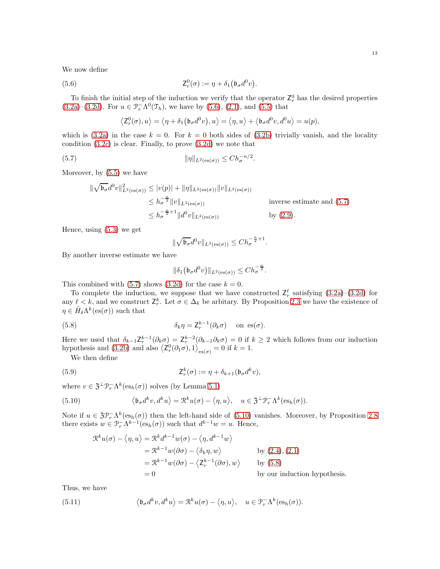We now define

(5.6) 
$$
\mathsf{Z}_{r}^{0}(\sigma) := \eta + \delta_{1}(\mathfrak{b}_{\sigma}d^{0}v)
$$

To finish the initial step of the induction we verify that the operator  $\mathsf{Z}_r^0$  has the desired properties [\(3.2a\)](#page-4-2)–[\(3.2d\)](#page-4-5). For  $u \in \mathcal{P}_r^{-} \Lambda^0(\mathcal{T}_h)$ , we have by [\(5.6\)](#page-12-0), [\(2.1\)](#page-1-0), and [\(5.5\)](#page-11-4) that

<span id="page-12-0"></span>.

<span id="page-12-1"></span>
$$
\left\langle \mathsf{Z}_{r}^{0}(\sigma),u\right\rangle =\left\langle \eta+\delta_{1}\left(\mathfrak{b}_{\sigma}d^{0}v\right),u\right\rangle =\left\langle \eta,u\right\rangle +\left\langle \mathfrak{b}_{\sigma}d^{0}v,d^{0}u\right\rangle =u(p),
$$

which is [\(3.2a\)](#page-4-2) in the case  $k = 0$ . For  $k = 0$  both sides of [\(3.2b\)](#page-4-7) trivially vanish, and the locality condition [\(3.2c\)](#page-4-8) is clear. Finally, to prove [\(3.2d\)](#page-4-5) we note that

(5.7) 
$$
\|\eta\|_{L^2(\text{es}(\sigma))} \leq Ch_{\sigma}^{-n/2}.
$$

Moreover, by [\(5.5\)](#page-11-4) we have

$$
\|\sqrt{\mathfrak{b}_{\sigma}}d^{0}v\|_{L^{2}(\mathrm{es}(\sigma))}^{2} \leq |v(p)| + \|\eta\|_{L^{2}(\mathrm{es}(\sigma))}\|v\|_{L^{2}(\mathrm{es}(\sigma))}
$$
  
\n
$$
\leq h_{\sigma}^{-\frac{n}{2}}\|v\|_{L^{2}(\mathrm{es}(\sigma))}
$$
 inverse estimate and (5.7)  
\n
$$
\leq h_{\sigma}^{-\frac{n}{2}+1}\|d^{0}v\|_{L^{2}(\mathrm{es}(\sigma))}
$$
 by (2.9).

Hence, using [\(5.3\)](#page-11-5) we get

$$
\|\sqrt{\mathfrak{b}_{\sigma}}d^0v\|_{L^2(\text{es}(\sigma))} \le Ch_{\sigma}^{-\frac{n}{2}+1}.
$$

By another inverse estimate we have

<span id="page-12-4"></span><span id="page-12-3"></span>
$$
\|\delta_1(\mathfrak{b}_{\sigma}d^0v)\|_{L^2(\text{es}(\sigma))} \le Ch_{\sigma}^{-\frac{n}{2}}.
$$

This combined with [\(5.7\)](#page-12-1) shows [\(3.2d\)](#page-4-5) for the case  $k = 0$ .

To complete the induction, we suppose that we have constructed  $\mathsf{Z}_r^{\ell}$  satisfying [\(3.2a\)](#page-4-2)–[\(3.2d\)](#page-4-5) for any  $\ell < k$ , and we construct  $\mathsf{Z}_r^k$ . Let  $\sigma \in \Delta_k$  be arbitary. By Proposition [2.3](#page-3-1) we have the existence of  $\eta \in \mathring{H}_{\delta} \Lambda^k(\mathcal{es}(\sigma))$  such that

(5.8) 
$$
\delta_k \eta = \mathsf{Z}_r^{k-1}(\partial_k \sigma) \quad \text{on } \mathsf{es}(\sigma).
$$

Here we used that  $\delta_{k-1} \mathsf{Z}_r^{k-1}(\partial_k \sigma) = \mathsf{Z}_r^{k-2}(\partial_{k-1} \partial_k \sigma) = 0$  if  $k \geq 2$  which follows from our induction hypothesis and [\(3.2b\)](#page-4-7) and also  $\langle \mathsf{Z}_{r}^0(\partial_1 \sigma), 1 \rangle_{\mathsf{es}(\sigma)} = 0$  if  $k = 1$ .

We then define

(5.9) 
$$
\mathsf{Z}_{r}^{k}(\sigma) := \eta + \delta_{k+1}(\mathfrak{b}_{\sigma}d^{k}v),
$$

where  $v \in \mathfrak{Z}^{\perp} \mathcal{P}_r^{-} \Lambda^k(\text{es}_h(\sigma))$  solves (by Lemma [5.1\)](#page-11-2)

(5.10) 
$$
\langle \mathfrak{b}_{\sigma} d^k v, d^k u \rangle = \mathfrak{R}^k u(\sigma) - \langle \eta, u \rangle, \quad u \in \mathfrak{Z}^{\perp} \mathfrak{P}_r^{-} \Lambda^k(\mathrm{es}_h(\sigma)).
$$

Note if  $u \in \mathfrak{Z} \mathcal{P}_r^{-} \Lambda^k(\mathrm{es}_h(\sigma))$  then the left-hand side of [\(5.10\)](#page-12-2) vanishes. Moreover, by Proposition [2.8](#page-3-6) there exists  $w \in \mathcal{P}_r^-\Lambda^{k-1}(\mathrm{es}_h(\sigma))$  such that  $d^{k-1}w = u$ . Hence,

<span id="page-12-2"></span>
$$
\mathcal{R}^{k}u(\sigma) - \langle \eta, u \rangle = \mathcal{R}^{k}d^{k-1}w(\sigma) - \langle \eta, d^{k-1}w \rangle
$$
  
\n
$$
= \mathcal{R}^{k-1}w(\partial \sigma) - \langle \delta_{k}\eta, w \rangle \qquad \text{by (2.4), (2.1)}
$$
  
\n
$$
= \mathcal{R}^{k-1}w(\partial \sigma) - \langle \mathbf{Z}_{r}^{k-1}(\partial \sigma), w \rangle \qquad \text{by (5.8)}
$$
  
\n
$$
= 0 \qquad \text{by our induction hypothesis.}
$$

Thus, we have

<span id="page-12-5"></span>(5.11) 
$$
\langle \mathfrak{b}_{\sigma} d^k v, d^k u \rangle = \mathfrak{R}^k u(\sigma) - \langle \eta, u \rangle, \quad u \in \mathfrak{P}_r^{-} \Lambda^k(\mathrm{es}_h(\sigma)).
$$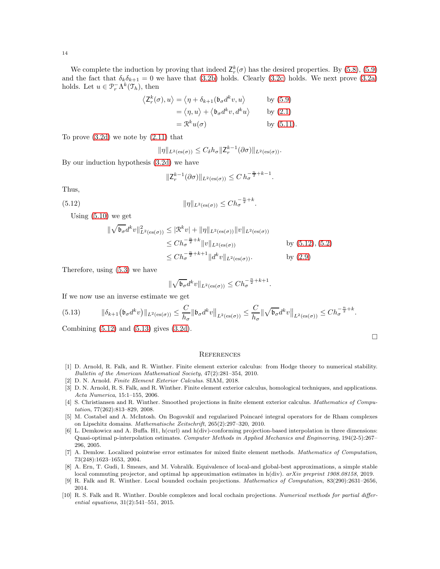We complete the induction by proving that indeed  $\mathsf{Z}_{r}^{k}(\sigma)$  has the desired properties. By [\(5.8\)](#page-12-3), [\(5.9\)](#page-12-4) and the fact that  $\delta_k \delta_{k+1} = 0$  we have that [\(3.2b\)](#page-4-7) holds. Clearly [\(3.2c\)](#page-4-8) holds. We next prove [\(3.2a\)](#page-4-2) holds. Let  $u \in \mathcal{P}_r^{-} \Lambda^k(\mathcal{T}_h)$ , then

$$
\langle Z_r^k(\sigma), u \rangle = \langle \eta + \delta_{k+1}(\mathfrak{b}_{\sigma} d^k v, u \rangle \qquad \text{by (5.9)}
$$

$$
= \langle \eta, u \rangle + \langle \mathfrak{b}_{\sigma} d^k v, d^k u \rangle \qquad \text{by (2.1)}
$$

$$
= \mathcal{R}^k u(\sigma) \qquad \text{by (5.11)}.
$$

To prove [\(3.2d\)](#page-4-5) we note by [\(2.11\)](#page-4-9) that

$$
\|\eta\|_{L^2(\text{es}(\sigma))} \leq C_\delta h_\sigma \|Z_r^{k-1}(\partial\sigma)\|_{L^2(\text{es}(\sigma))}.
$$

By our induction hypothesis [\(3.2d\)](#page-4-5) we have

<span id="page-13-10"></span>
$$
||Z_r^{k-1}(\partial \sigma)||_{L^2(\text{es}(\sigma))} \le C h_{\sigma}^{-\frac{n}{2}+k-1}.
$$

Thus,

(5.12) 
$$
\|\eta\|_{L^2(\text{es}(\sigma))} \leq Ch_{\sigma}^{-\frac{n}{2}+k}.
$$

Using [\(5.10\)](#page-12-2) we get

$$
\begin{split} \|\sqrt{\mathfrak{b}_{\sigma}}d^{k}v\|_{L^{2}(\mathrm{es}(\sigma))}^{2} &\leq |\mathcal{R}^{k}v| + \|\eta\|_{L^{2}(\mathrm{es}(\sigma))}\|v\|_{L^{2}(\mathrm{es}(\sigma))} \\ &\leq Ch_{\sigma}^{-\frac{n}{2}+k}\|v\|_{L^{2}(\mathrm{es}(\sigma))} \qquad \qquad \text{by (5.12), (5.2)} \\ &\leq Ch_{\sigma}^{-\frac{n}{2}+k+1}\|d^{k}v\|_{L^{2}(\mathrm{es}(\sigma))} \qquad \qquad \text{by (2.9)} \end{split}
$$

Therefore, using [\(5.3\)](#page-11-5) we have

$$
\|\sqrt{\mathfrak{b}_{\sigma}}d^k v\|_{L^2(\textnormal{es}(\sigma))} \leq Ch_{\sigma}^{-\frac{n}{2}+k+1}.
$$

If we now use an inverse estimate we get

<span id="page-13-11"></span>
$$
(5.13) \qquad \|\delta_{k+1}(\mathfrak{b}_{\sigma}d^k v)\|_{L^2(\text{es}(\sigma))} \leq \frac{C}{h_{\sigma}}\|\mathfrak{b}_{\sigma}d^k v\|_{L^2(\text{es}(\sigma))} \leq \frac{C}{h_{\sigma}}\|\sqrt{\mathfrak{b}_{\sigma}}d^k v\|_{L^2(\text{es}(\sigma))} \leq Ch_{\sigma}^{-\frac{n}{2}+k}.
$$

Combining [\(5.12\)](#page-13-10) and [\(5.13\)](#page-13-11) gives [\(3.2d\)](#page-4-5).

#### **REFERENCES**

- <span id="page-13-2"></span>[1] D. Arnold, R. Falk, and R. Winther. Finite element exterior calculus: from Hodge theory to numerical stability. Bulletin of the American Mathematical Society, 47(2):281–354, 2010.
- <span id="page-13-1"></span><span id="page-13-0"></span>[2] D. N. Arnold. Finite Element Exterior Calculus. SIAM, 2018.
- [3] D. N. Arnold, R. S. Falk, and R. Winther. Finite element exterior calculus, homological techniques, and applications. Acta Numerica, 15:1–155, 2006.
- <span id="page-13-3"></span>[4] S. Christiansen and R. Winther. Smoothed projections in finite element exterior calculus. Mathematics of Computation, 77(262):813–829, 2008.
- <span id="page-13-8"></span>[5] M. Costabel and A. McIntosh. On Bogovskiĭ and regularized Poincaré integral operators for de Rham complexes on Lipschitz domains. Mathematische Zeitschrift, 265(2):297–320, 2010.
- <span id="page-13-9"></span>[6] L. Demkowicz and A. Buffa. H1, h(curl) and h(div)-conforming projection-based interpolation in three dimensions: Quasi-optimal p-interpolation estimates. Computer Methods in Applied Mechanics and Engineering, 194(2-5):267– 296, 2005.
- <span id="page-13-7"></span>[7] A. Demlow. Localized pointwise error estimates for mixed finite element methods. Mathematics of Computation, 73(248):1623–1653, 2004.
- <span id="page-13-6"></span>[8] A. Ern, T. Gudi, I. Smears, and M. Vohralík. Equivalence of local-and global-best approximations, a simple stable local commuting projector, and optimal hp approximation estimates in h(div). arXiv preprint 1908.08158, 2019.
- <span id="page-13-4"></span>[9] R. Falk and R. Winther. Local bounded cochain projections. Mathematics of Computation, 83(290):2631–2656, 2014.
- <span id="page-13-5"></span>[10] R. S. Falk and R. Winther. Double complexes and local cochain projections. Numerical methods for partial differential equations, 31(2):541–551, 2015.